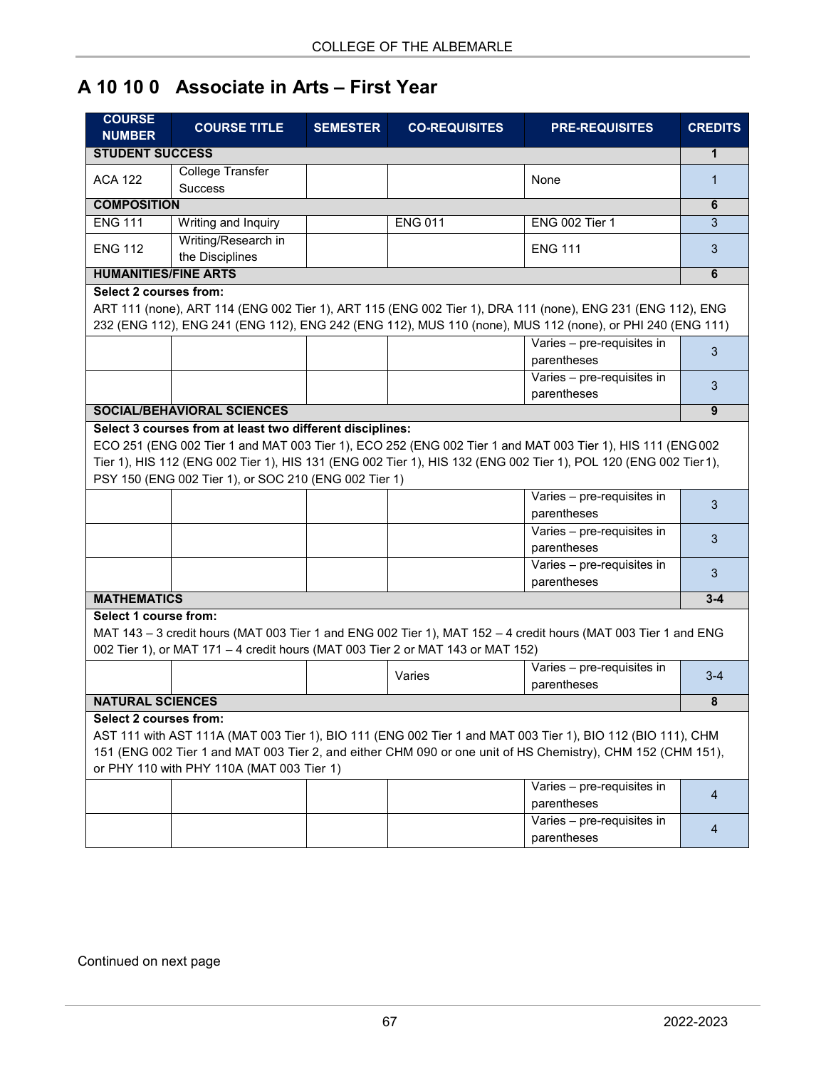## **A 10 10 0 Associate in Arts – First Year**

| <b>COURSE</b><br><b>NUMBER</b> | <b>COURSE TITLE</b>                                                                                                | <b>SEMESTER</b> | <b>CO-REQUISITES</b>                                                            | <b>PRE-REQUISITES</b>                                                                                                                                                                                                                                    | <b>CREDITS</b> |
|--------------------------------|--------------------------------------------------------------------------------------------------------------------|-----------------|---------------------------------------------------------------------------------|----------------------------------------------------------------------------------------------------------------------------------------------------------------------------------------------------------------------------------------------------------|----------------|
| <b>STUDENT SUCCESS</b>         |                                                                                                                    |                 |                                                                                 |                                                                                                                                                                                                                                                          | 1              |
| <b>ACA 122</b>                 | <b>College Transfer</b><br><b>Success</b>                                                                          |                 |                                                                                 | None                                                                                                                                                                                                                                                     | 1              |
| <b>COMPOSITION</b>             |                                                                                                                    |                 |                                                                                 |                                                                                                                                                                                                                                                          | 6              |
| <b>ENG 111</b>                 | Writing and Inquiry                                                                                                |                 | <b>ENG 011</b>                                                                  | <b>ENG 002 Tier 1</b>                                                                                                                                                                                                                                    | 3              |
| <b>ENG 112</b>                 | Writing/Research in<br>the Disciplines                                                                             |                 |                                                                                 | <b>ENG 111</b>                                                                                                                                                                                                                                           | 3              |
| <b>HUMANITIES/FINE ARTS</b>    |                                                                                                                    |                 |                                                                                 |                                                                                                                                                                                                                                                          | 6              |
| <b>Select 2 courses from:</b>  |                                                                                                                    |                 |                                                                                 | ART 111 (none), ART 114 (ENG 002 Tier 1), ART 115 (ENG 002 Tier 1), DRA 111 (none), ENG 231 (ENG 112), ENG<br>232 (ENG 112), ENG 241 (ENG 112), ENG 242 (ENG 112), MUS 110 (none), MUS 112 (none), or PHI 240 (ENG 111)                                  |                |
|                                |                                                                                                                    |                 |                                                                                 | Varies - pre-requisites in<br>parentheses                                                                                                                                                                                                                | 3              |
|                                |                                                                                                                    |                 |                                                                                 | Varies - pre-requisites in<br>parentheses                                                                                                                                                                                                                | 3              |
|                                | <b>SOCIAL/BEHAVIORAL SCIENCES</b>                                                                                  |                 |                                                                                 |                                                                                                                                                                                                                                                          | 9              |
|                                | Select 3 courses from at least two different disciplines:<br>PSY 150 (ENG 002 Tier 1), or SOC 210 (ENG 002 Tier 1) |                 |                                                                                 | ECO 251 (ENG 002 Tier 1 and MAT 003 Tier 1), ECO 252 (ENG 002 Tier 1 and MAT 003 Tier 1), HIS 111 (ENG 002<br>Tier 1), HIS 112 (ENG 002 Tier 1), HIS 131 (ENG 002 Tier 1), HIS 132 (ENG 002 Tier 1), POL 120 (ENG 002 Tier 1),                           |                |
|                                |                                                                                                                    |                 |                                                                                 | Varies - pre-requisites in<br>parentheses                                                                                                                                                                                                                | 3              |
|                                |                                                                                                                    |                 |                                                                                 | Varies - pre-requisites in<br>parentheses                                                                                                                                                                                                                | 3              |
|                                |                                                                                                                    |                 |                                                                                 | Varies - pre-requisites in<br>parentheses                                                                                                                                                                                                                | 3              |
| <b>MATHEMATICS</b>             |                                                                                                                    |                 |                                                                                 |                                                                                                                                                                                                                                                          | $3 - 4$        |
| Select 1 course from:          |                                                                                                                    |                 | 002 Tier 1), or MAT 171 - 4 credit hours (MAT 003 Tier 2 or MAT 143 or MAT 152) | MAT 143 - 3 credit hours (MAT 003 Tier 1 and ENG 002 Tier 1), MAT 152 - 4 credit hours (MAT 003 Tier 1 and ENG                                                                                                                                           |                |
|                                |                                                                                                                    |                 | Varies                                                                          | Varies - pre-requisites in<br>parentheses                                                                                                                                                                                                                | $3 - 4$        |
| <b>NATURAL SCIENCES</b>        |                                                                                                                    |                 |                                                                                 |                                                                                                                                                                                                                                                          | 8              |
| Select 2 courses from:         | or PHY 110 with PHY 110A (MAT 003 Tier 1)                                                                          |                 |                                                                                 | AST 111 with AST 111A (MAT 003 Tier 1), BIO 111 (ENG 002 Tier 1 and MAT 003 Tier 1), BIO 112 (BIO 111), CHM<br>151 (ENG 002 Tier 1 and MAT 003 Tier 2, and either CHM 090 or one unit of HS Chemistry), CHM 152 (CHM 151),<br>Varies - pre-requisites in |                |
|                                |                                                                                                                    |                 |                                                                                 | parentheses                                                                                                                                                                                                                                              | 4              |
|                                |                                                                                                                    |                 |                                                                                 | Varies - pre-requisites in<br>parentheses                                                                                                                                                                                                                | $\overline{4}$ |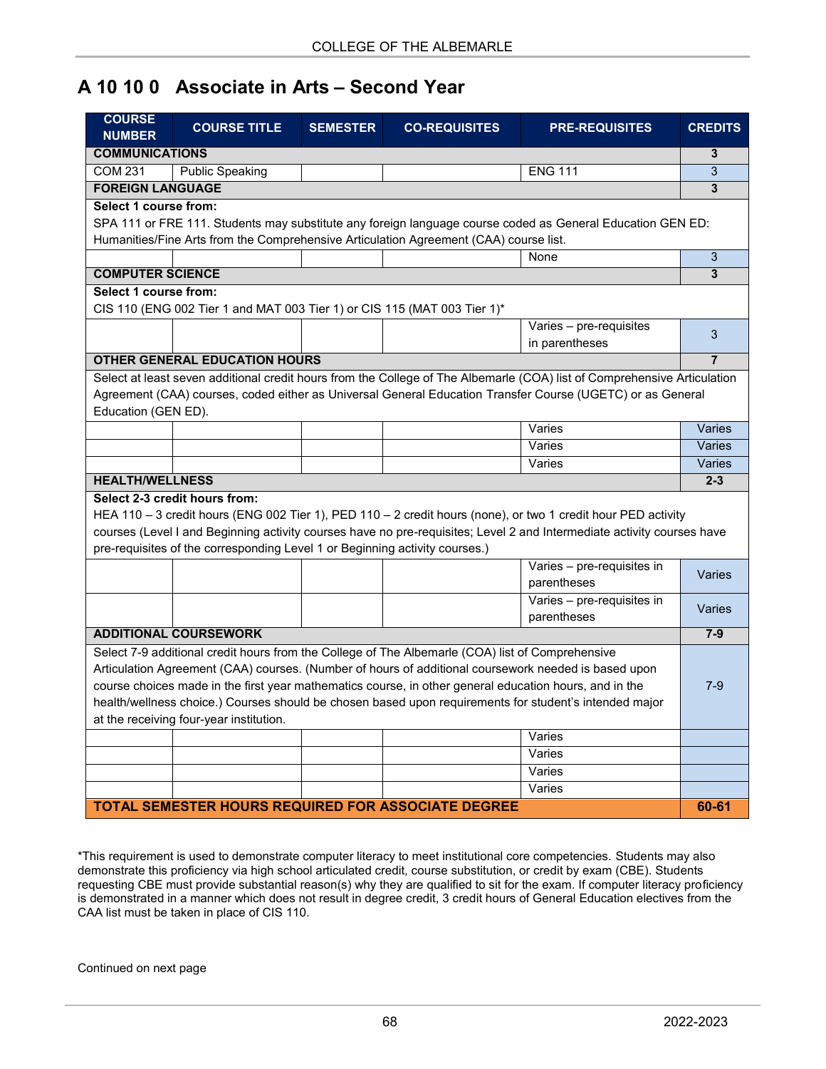## **A 10 10 0 Associate in Arts – Second Year**

| <b>COURSE</b><br><b>NUMBER</b> | <b>COURSE TITLE</b>                                                         | <b>SEMESTER</b> | <b>CO-REQUISITES</b>                                                                                   | <b>PRE-REQUISITES</b>                                                                                                    | <b>CREDITS</b> |
|--------------------------------|-----------------------------------------------------------------------------|-----------------|--------------------------------------------------------------------------------------------------------|--------------------------------------------------------------------------------------------------------------------------|----------------|
| <b>COMMUNICATIONS</b>          |                                                                             |                 |                                                                                                        |                                                                                                                          | 3              |
| <b>COM 231</b>                 | <b>Public Speaking</b>                                                      |                 |                                                                                                        | <b>ENG 111</b>                                                                                                           | 3              |
| <b>FOREIGN LANGUAGE</b>        |                                                                             |                 |                                                                                                        |                                                                                                                          | 3              |
| Select 1 course from:          |                                                                             |                 |                                                                                                        |                                                                                                                          |                |
|                                |                                                                             |                 |                                                                                                        | SPA 111 or FRE 111. Students may substitute any foreign language course coded as General Education GEN ED:               |                |
|                                |                                                                             |                 | Humanities/Fine Arts from the Comprehensive Articulation Agreement (CAA) course list.                  |                                                                                                                          |                |
|                                |                                                                             |                 |                                                                                                        | None                                                                                                                     | 3              |
| <b>COMPUTER SCIENCE</b>        |                                                                             |                 |                                                                                                        |                                                                                                                          | 3              |
| Select 1 course from:          |                                                                             |                 |                                                                                                        |                                                                                                                          |                |
|                                | CIS 110 (ENG 002 Tier 1 and MAT 003 Tier 1) or CIS 115 (MAT 003 Tier 1)*    |                 |                                                                                                        |                                                                                                                          |                |
|                                |                                                                             |                 |                                                                                                        | Varies - pre-requisites                                                                                                  |                |
|                                |                                                                             |                 |                                                                                                        | in parentheses                                                                                                           | 3              |
|                                | <b>OTHER GENERAL EDUCATION HOURS</b>                                        |                 |                                                                                                        |                                                                                                                          | $\overline{7}$ |
|                                |                                                                             |                 |                                                                                                        | Select at least seven additional credit hours from the College of The Albemarle (COA) list of Comprehensive Articulation |                |
|                                |                                                                             |                 |                                                                                                        | Agreement (CAA) courses, coded either as Universal General Education Transfer Course (UGETC) or as General               |                |
| Education (GEN ED).            |                                                                             |                 |                                                                                                        |                                                                                                                          |                |
|                                |                                                                             |                 |                                                                                                        | Varies                                                                                                                   | Varies         |
|                                |                                                                             |                 |                                                                                                        | Varies                                                                                                                   | Varies         |
|                                |                                                                             |                 |                                                                                                        | Varies                                                                                                                   | Varies         |
| <b>HEALTH/WELLNESS</b>         |                                                                             |                 |                                                                                                        |                                                                                                                          | $2 - 3$        |
|                                | Select 2-3 credit hours from:                                               |                 |                                                                                                        |                                                                                                                          |                |
|                                |                                                                             |                 |                                                                                                        | HEA 110 - 3 credit hours (ENG 002 Tier 1), PED 110 - 2 credit hours (none), or two 1 credit hour PED activity            |                |
|                                |                                                                             |                 |                                                                                                        | courses (Level I and Beginning activity courses have no pre-requisites; Level 2 and Intermediate activity courses have   |                |
|                                | pre-requisites of the corresponding Level 1 or Beginning activity courses.) |                 |                                                                                                        |                                                                                                                          |                |
|                                |                                                                             |                 |                                                                                                        | Varies - pre-requisites in                                                                                               |                |
|                                |                                                                             |                 |                                                                                                        | parentheses                                                                                                              | Varies         |
|                                |                                                                             |                 |                                                                                                        | Varies - pre-requisites in                                                                                               |                |
|                                |                                                                             |                 |                                                                                                        | parentheses                                                                                                              | Varies         |
|                                | <b>ADDITIONAL COURSEWORK</b>                                                |                 |                                                                                                        |                                                                                                                          | $7-9$          |
|                                |                                                                             |                 | Select 7-9 additional credit hours from the College of The Albemarle (COA) list of Comprehensive       |                                                                                                                          |                |
|                                |                                                                             |                 |                                                                                                        | Articulation Agreement (CAA) courses. (Number of hours of additional coursework needed is based upon                     |                |
|                                |                                                                             |                 | course choices made in the first year mathematics course, in other general education hours, and in the |                                                                                                                          | $7-9$          |
|                                |                                                                             |                 |                                                                                                        |                                                                                                                          |                |
|                                |                                                                             |                 |                                                                                                        | health/wellness choice.) Courses should be chosen based upon requirements for student's intended major                   |                |
|                                | at the receiving four-year institution.                                     |                 |                                                                                                        |                                                                                                                          |                |
|                                |                                                                             |                 |                                                                                                        | Varies                                                                                                                   |                |
|                                |                                                                             |                 |                                                                                                        | Varies                                                                                                                   |                |
|                                |                                                                             |                 |                                                                                                        | Varies                                                                                                                   |                |
|                                |                                                                             |                 |                                                                                                        | Varies                                                                                                                   |                |
|                                |                                                                             |                 | <b>TOTAL SEMESTER HOURS REQUIRED FOR ASSOCIATE DEGREE</b>                                              |                                                                                                                          | 60-61          |

\*This requirement is used to demonstrate computer literacy to meet institutional core competencies. Students may also demonstrate this proficiency via high school articulated credit, course substitution, or credit by exam (CBE). Students requesting CBE must provide substantial reason(s) why they are qualified to sit for the exam. If computer literacy proficiency is demonstrated in a manner which does not result in degree credit, 3 credit hours of General Education electives from the CAA list must be taken in place of CIS 110.

Continued on next page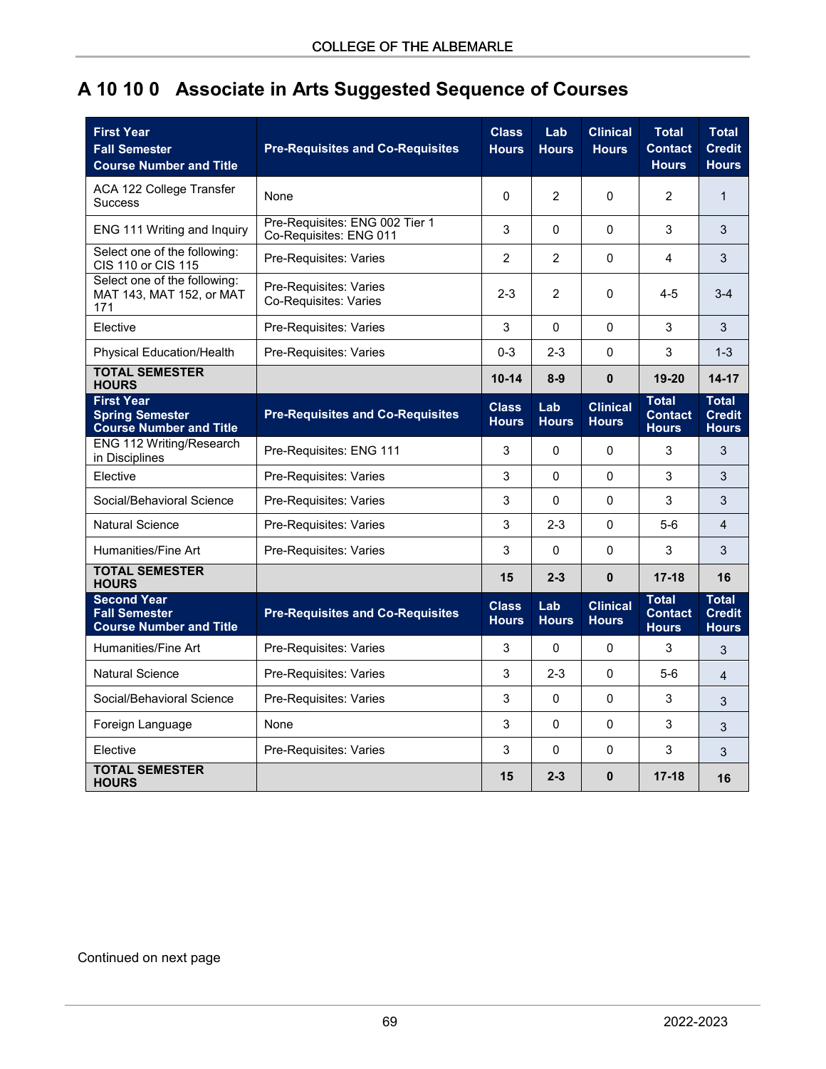## **A 10 10 0 Associate in Arts Suggested Sequence of Courses**

| <b>Fall Semester</b><br><b>Course Number and Title</b>                        | <b>Pre-Requisites and Co-Requisites</b>                  | <b>Class</b><br><b>Hours</b> | Lab<br><b>Hours</b> | <b>Clinical</b><br><b>Hours</b> | <b>Total</b><br>Contact<br><b>Hours</b>        | <b>Total</b><br><b>Credit</b><br><b>Hours</b> |
|-------------------------------------------------------------------------------|----------------------------------------------------------|------------------------------|---------------------|---------------------------------|------------------------------------------------|-----------------------------------------------|
| ACA 122 College Transfer<br><b>Success</b>                                    | None                                                     | $\Omega$                     | $\overline{2}$      | 0                               | 2                                              | $\mathbf 1$                                   |
| ENG 111 Writing and Inquiry                                                   | Pre-Requisites: ENG 002 Tier 1<br>Co-Requisites: ENG 011 | 3                            | $\Omega$            | 0                               | 3                                              | 3                                             |
| Select one of the following:<br>CIS 110 or CIS 115                            | Pre-Requisites: Varies                                   | $\overline{2}$               | $\overline{2}$      | 0                               | 4                                              | 3                                             |
| Select one of the following:<br>MAT 143, MAT 152, or MAT<br>171               | Pre-Requisites: Varies<br>Co-Requisites: Varies          | $2 - 3$                      | $\overline{c}$      | 0                               | $4 - 5$                                        | $3-4$                                         |
| Elective                                                                      | Pre-Requisites: Varies                                   | 3                            | $\mathbf 0$         | 0                               | 3                                              | 3                                             |
| Physical Education/Health                                                     | Pre-Requisites: Varies                                   | $0 - 3$                      | $2 - 3$             | 0                               | 3                                              | $1 - 3$                                       |
| <b>TOTAL SEMESTER</b><br><b>HOURS</b>                                         |                                                          | $10 - 14$                    | $8-9$               | 0                               | 19-20                                          | 14-17                                         |
| <b>First Year</b><br><b>Spring Semester</b><br><b>Course Number and Title</b> | <b>Pre-Requisites and Co-Requisites</b>                  | <b>Class</b><br><b>Hours</b> | Lab<br><b>Hours</b> | <b>Clinical</b><br><b>Hours</b> | <b>Total</b><br><b>Contact</b><br><b>Hours</b> | <b>Total</b><br><b>Credit</b><br><b>Hours</b> |
| ENG 112 Writing/Research<br>in Disciplines                                    | Pre-Requisites: ENG 111                                  | 3                            | $\mathbf 0$         | 0                               | 3                                              | 3                                             |
| Elective                                                                      | Pre-Requisites: Varies                                   | 3                            | $\pmb{0}$           | 0                               | 3                                              | 3                                             |
| Social/Behavioral Science                                                     | Pre-Requisites: Varies                                   | 3                            | $\mathbf 0$         | 0                               | 3                                              | 3                                             |
| <b>Natural Science</b>                                                        | Pre-Requisites: Varies                                   | 3                            | $2 - 3$             | 0                               | $5-6$                                          | 4                                             |
| Humanities/Fine Art                                                           | Pre-Requisites: Varies                                   | 3                            | $\pmb{0}$           | 0                               | 3                                              | 3                                             |
| <b>TOTAL SEMESTER</b><br><b>HOURS</b>                                         |                                                          | 15                           | $2 - 3$             | $\mathbf{0}$                    | $17 - 18$                                      | 16                                            |
| <b>Second Year</b><br><b>Fall Semester</b><br><b>Course Number and Title</b>  | <b>Pre-Requisites and Co-Requisites</b>                  | <b>Class</b><br><b>Hours</b> | Lab<br><b>Hours</b> | <b>Clinical</b><br><b>Hours</b> | <b>Total</b><br><b>Contact</b><br><b>Hours</b> | <b>Total</b><br><b>Credit</b><br><b>Hours</b> |
| Humanities/Fine Art                                                           | Pre-Requisites: Varies                                   | 3                            | 0                   | $\mathbf 0$                     | 3                                              | $\ensuremath{\mathsf{3}}$                     |
| <b>Natural Science</b>                                                        | Pre-Requisites: Varies                                   | 3                            | $2 - 3$             | 0                               | $5-6$                                          | $\overline{4}$                                |
| Social/Behavioral Science                                                     | Pre-Requisites: Varies                                   | 3                            | $\mathbf 0$         | $\mathbf 0$                     | 3                                              | 3                                             |
| Foreign Language                                                              | None                                                     | 3                            | $\mathbf 0$         | 0                               | 3                                              | 3                                             |
|                                                                               |                                                          | 3                            | 0                   | 0                               | 3                                              | 3                                             |
| Elective                                                                      | Pre-Requisites: Varies                                   |                              |                     |                                 |                                                |                                               |